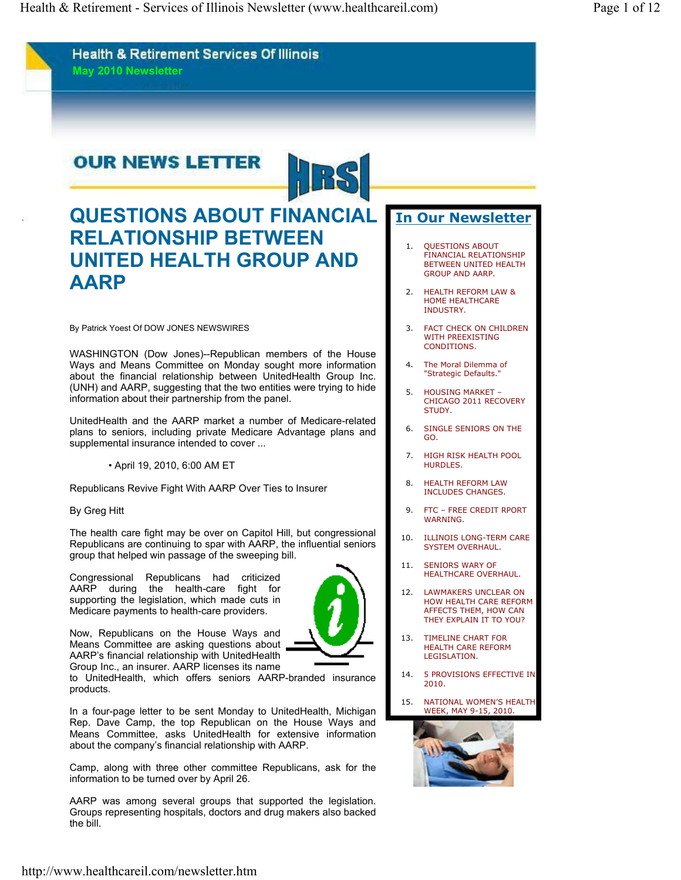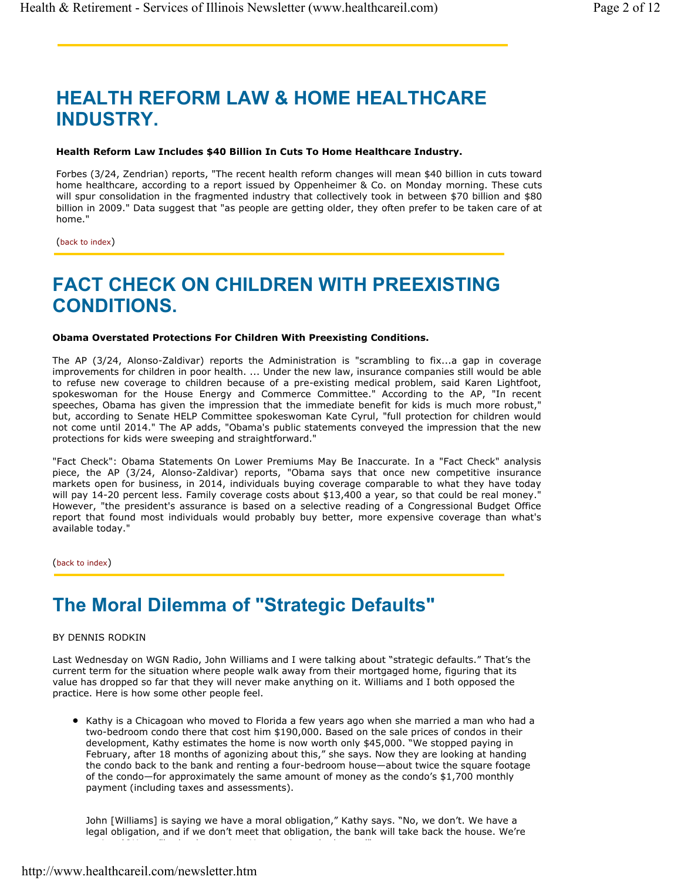### **HEALTH REFORM LAW & HOME HEALTHCARE INDUSTRY.**

#### **Health Reform Law Includes \$40 Billion In Cuts To Home Healthcare Industry.**

Forbes (3/24, Zendrian) reports, "The recent health reform changes will mean \$40 billion in cuts toward home healthcare, according to a report issued by Oppenheimer & Co. on Monday morning. These cuts will spur consolidation in the fragmented industry that collectively took in between \$70 billion and \$80 billion in 2009." Data suggest that "as people are getting older, they often prefer to be taken care of at home."

(back to index)

# **FACT CHECK ON CHILDREN WITH PREEXISTING CONDITIONS.**

#### **Obama Overstated Protections For Children With Preexisting Conditions.**

The AP (3/24, Alonso-Zaldivar) reports the Administration is "scrambling to fix...a gap in coverage improvements for children in poor health. ... Under the new law, insurance companies still would be able to refuse new coverage to children because of a pre-existing medical problem, said Karen Lightfoot, spokeswoman for the House Energy and Commerce Committee." According to the AP, "In recent speeches, Obama has given the impression that the immediate benefit for kids is much more robust," but, according to Senate HELP Committee spokeswoman Kate Cyrul, "full protection for children would not come until 2014." The AP adds, "Obama's public statements conveyed the impression that the new protections for kids were sweeping and straightforward."

"Fact Check": Obama Statements On Lower Premiums May Be Inaccurate. In a "Fact Check" analysis piece, the AP (3/24, Alonso-Zaldivar) reports, "Obama says that once new competitive insurance markets open for business, in 2014, individuals buying coverage comparable to what they have today will pay 14-20 percent less. Family coverage costs about \$13,400 a year, so that could be real money." However, "the president's assurance is based on a selective reading of a Congressional Budget Office report that found most individuals would probably buy better, more expensive coverage than what's available today."

(back to index)

# **The Moral Dilemma of "Strategic Defaults"**

i 'Ok 'll k h i Y h i Y h i Y h i Y h i Y h i Y h i Y h i Y h i Y h i Y h i Y h i Y h i Y h i Y h i Y h i Y h<br>Diversi i Y h i Y h i Y h i Y h i Y h i Y h i Y h i Y h i Y h i Y h i Y h i Y h i Y h i Y h i Y h i Y h i Y h

#### BY DENNIS RODKIN

Last Wednesday on WGN Radio, John Williams and I were talking about "strategic defaults." That's the current term for the situation where people walk away from their mortgaged home, figuring that its value has dropped so far that they will never make anything on it. Williams and I both opposed the practice. Here is how some other people feel.

• Kathy is a Chicagoan who moved to Florida a few years ago when she married a man who had a two-bedroom condo there that cost him \$190,000. Based on the sale prices of condos in their development, Kathy estimates the home is now worth only \$45,000. "We stopped paying in February, after 18 months of agonizing about this," she says. Now they are looking at handing the condo back to the bank and renting a four-bedroom house—about twice the square footage of the condo—for approximately the same amount of money as the condo's \$1,700 monthly payment (including taxes and assessments).

John [Williams] is saying we have a moral obligation," Kathy says. "No, we don't. We have a legal obligation, and if we don't meet that obligation, the bank will take back the house. We're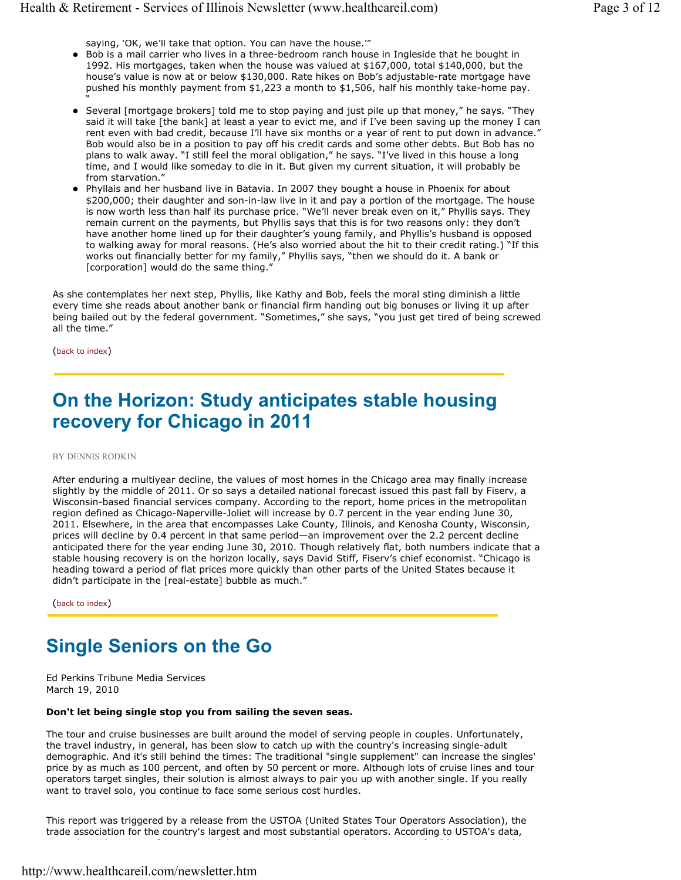saying, 'OK, we'll take that option. You can have the house.'"

- Bob is a mail carrier who lives in a three-bedroom ranch house in Ingleside that he bought in 1992. His mortgages, taken when the house was valued at \$167,000, total \$140,000, but the house's value is now at or below \$130,000. Rate hikes on Bob's adjustable-rate mortgage have pushed his monthly payment from \$1,223 a month to \$1,506, half his monthly take-home pay. "
- Several [mortgage brokers] told me to stop paying and just pile up that money," he says. "They said it will take [the bank] at least a year to evict me, and if I've been saving up the money I can rent even with bad credit, because I'll have six months or a year of rent to put down in advance." Bob would also be in a position to pay off his credit cards and some other debts. But Bob has no plans to walk away. "I still feel the moral obligation," he says. "I've lived in this house a long time, and I would like someday to die in it. But given my current situation, it will probably be from starvation."
- Phyllais and her husband live in Batavia. In 2007 they bought a house in Phoenix for about \$200,000; their daughter and son-in-law live in it and pay a portion of the mortgage. The house is now worth less than half its purchase price. "We'll never break even on it," Phyllis says. They remain current on the payments, but Phyllis says that this is for two reasons only: they don't have another home lined up for their daughter's young family, and Phyllis's husband is opposed to walking away for moral reasons. (He's also worried about the hit to their credit rating.) "If this works out financially better for my family," Phyllis says, "then we should do it. A bank or [corporation] would do the same thing."

As she contemplates her next step, Phyllis, like Kathy and Bob, feels the moral sting diminish a little every time she reads about another bank or financial firm handing out big bonuses or living it up after being bailed out by the federal government. "Sometimes," she says, "you just get tired of being screwed all the time."

(back to index)

# **On the Horizon: Study anticipates stable housing recovery for Chicago in 2011**

#### BY DENNIS RODKIN

After enduring a multiyear decline, the values of most homes in the Chicago area may finally increase slightly by the middle of 2011. Or so says a detailed national forecast issued this past fall by Fiserv, a Wisconsin-based financial services company. According to the report, home prices in the metropolitan region defined as Chicago-Naperville-Joliet will increase by 0.7 percent in the year ending June 30, 2011. Elsewhere, in the area that encompasses Lake County, Illinois, and Kenosha County, Wisconsin, prices will decline by 0.4 percent in that same period—an improvement over the 2.2 percent decline anticipated there for the year ending June 30, 2010. Though relatively flat, both numbers indicate that a stable housing recovery is on the horizon locally, says David Stiff, Fiserv's chief economist. "Chicago is heading toward a period of flat prices more quickly than other parts of the United States because it didn't participate in the [real-estate] bubble as much."

(back to index)

# **Single Seniors on the Go**

Ed Perkins Tribune Media Services March 19, 2010

#### **Don't let being single stop you from sailing the seven seas.**

The tour and cruise businesses are built around the model of serving people in couples. Unfortunately, the travel industry, in general, has been slow to catch up with the country's increasing single-adult demographic. And it's still behind the times: The traditional "single supplement" can increase the singles' price by as much as 100 percent, and often by 50 percent or more. Although lots of cruise lines and tour operators target singles, their solution is almost always to pair you up with another single. If you really want to travel solo, you continue to face some serious cost hurdles.

This report was triggered by a release from the USTOA (United States Tour Operators Association), the trade association for the country's largest and most substantial operators. According to USTOA's data,

h 40 f A i d i l d i l d i l d i l d i l d i l d i l d i l d i l d i l d i l d i l d i l d i l d i l d i l d i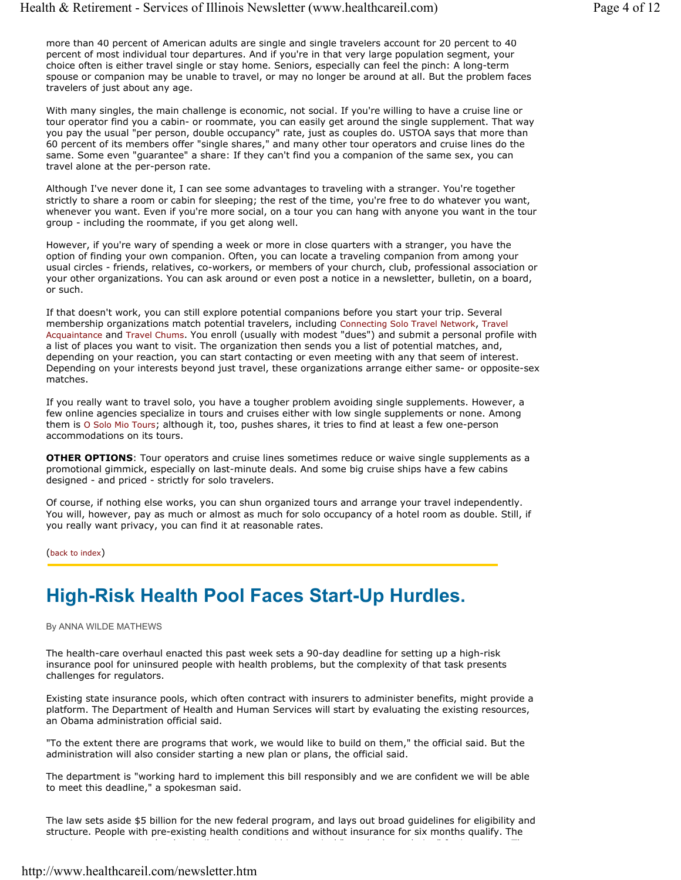more than 40 percent of American adults are single and single travelers account for 20 percent to 40 percent of most individual tour departures. And if you're in that very large population segment, your choice often is either travel single or stay home. Seniors, especially can feel the pinch: A long-term spouse or companion may be unable to travel, or may no longer be around at all. But the problem faces travelers of just about any age.

With many singles, the main challenge is economic, not social. If you're willing to have a cruise line or tour operator find you a cabin- or roommate, you can easily get around the single supplement. That way you pay the usual "per person, double occupancy" rate, just as couples do. USTOA says that more than 60 percent of its members offer "single shares," and many other tour operators and cruise lines do the same. Some even "guarantee" a share: If they can't find you a companion of the same sex, you can travel alone at the per-person rate.

Although I've never done it, I can see some advantages to traveling with a stranger. You're together strictly to share a room or cabin for sleeping; the rest of the time, you're free to do whatever you want, whenever you want. Even if you're more social, on a tour you can hang with anyone you want in the tour group - including the roommate, if you get along well.

However, if you're wary of spending a week or more in close quarters with a stranger, you have the option of finding your own companion. Often, you can locate a traveling companion from among your usual circles - friends, relatives, co-workers, or members of your church, club, professional association or your other organizations. You can ask around or even post a notice in a newsletter, bulletin, on a board, or such.

If that doesn't work, you can still explore potential companions before you start your trip. Several membership organizations match potential travelers, including Connecting Solo Travel Network, Travel Acquaintance and Travel Chums. You enroll (usually with modest "dues") and submit a personal profile with a list of places you want to visit. The organization then sends you a list of potential matches, and, depending on your reaction, you can start contacting or even meeting with any that seem of interest. Depending on your interests beyond just travel, these organizations arrange either same- or opposite-sex matches.

If you really want to travel solo, you have a tougher problem avoiding single supplements. However, a few online agencies specialize in tours and cruises either with low single supplements or none. Among them is O Solo Mio Tours; although it, too, pushes shares, it tries to find at least a few one-person accommodations on its tours.

**OTHER OPTIONS:** Tour operators and cruise lines sometimes reduce or waive single supplements as a promotional gimmick, especially on last-minute deals. And some big cruise ships have a few cabins designed - and priced - strictly for solo travelers.

Of course, if nothing else works, you can shun organized tours and arrange your travel independently. You will, however, pay as much or almost as much for solo occupancy of a hotel room as double. Still, if you really want privacy, you can find it at reasonable rates.

(back to index)

#### **High-Risk Health Pool Faces Start-Up Hurdles.**

#### By ANNA WILDE MATHEWS

The health-care overhaul enacted this past week sets a 90-day deadline for setting up a high-risk insurance pool for uninsured people with health problems, but the complexity of that task presents challenges for regulators.

Existing state insurance pools, which often contract with insurers to administer benefits, might provide a platform. The Department of Health and Human Services will start by evaluating the existing resources, an Obama administration official said.

"To the extent there are programs that work, we would like to build on them," the official said. But the administration will also consider starting a new plan or plans, the official said.

The department is "working hard to implement this bill responsibly and we are confident we will be able to meet this deadline," a spokesman said.

The law sets aside \$5 billion for the new federal program, and lays out broad guidelines for eligibility and structure. People with pre-existing health conditions and without insurance for six months qualify. The

i d'an d'an deus d'an deus d'an deus d'an deus d'an deus d'an deus d'an deus d'an deus d'an deus d'an deus d'a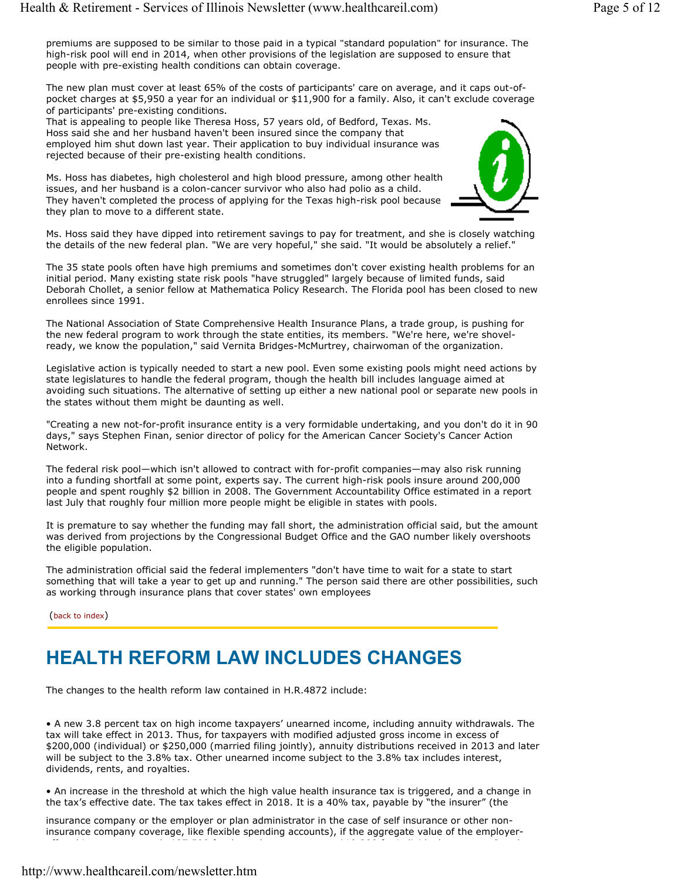premiums are supposed to be similar to those paid in a typical "standard population" for insurance. The high-risk pool will end in 2014, when other provisions of the legislation are supposed to ensure that people with pre-existing health conditions can obtain coverage.

The new plan must cover at least 65% of the costs of participants' care on average, and it caps out-ofpocket charges at \$5,950 a year for an individual or \$11,900 for a family. Also, it can't exclude coverage of participants' pre-existing conditions.

That is appealing to people like Theresa Hoss, 57 years old, of Bedford, Texas. Ms. Hoss said she and her husband haven't been insured since the company that employed him shut down last year. Their application to buy individual insurance was rejected because of their pre-existing health conditions.

Ms. Hoss has diabetes, high cholesterol and high blood pressure, among other health issues, and her husband is a colon-cancer survivor who also had polio as a child. They haven't completed the process of applying for the Texas high-risk pool because they plan to move to a different state.



Ms. Hoss said they have dipped into retirement savings to pay for treatment, and she is closely watching the details of the new federal plan. "We are very hopeful," she said. "It would be absolutely a relief."

The 35 state pools often have high premiums and sometimes don't cover existing health problems for an initial period. Many existing state risk pools "have struggled" largely because of limited funds, said Deborah Chollet, a senior fellow at Mathematica Policy Research. The Florida pool has been closed to new enrollees since 1991.

The National Association of State Comprehensive Health Insurance Plans, a trade group, is pushing for the new federal program to work through the state entities, its members. "We're here, we're shovelready, we know the population," said Vernita Bridges-McMurtrey, chairwoman of the organization.

Legislative action is typically needed to start a new pool. Even some existing pools might need actions by state legislatures to handle the federal program, though the health bill includes language aimed at avoiding such situations. The alternative of setting up either a new national pool or separate new pools in the states without them might be daunting as well.

"Creating a new not-for-profit insurance entity is a very formidable undertaking, and you don't do it in 90 days," says Stephen Finan, senior director of policy for the American Cancer Society's Cancer Action Network.

The federal risk pool—which isn't allowed to contract with for-profit companies—may also risk running into a funding shortfall at some point, experts say. The current high-risk pools insure around 200,000 people and spent roughly \$2 billion in 2008. The Government Accountability Office estimated in a report last July that roughly four million more people might be eligible in states with pools.

It is premature to say whether the funding may fall short, the administration official said, but the amount was derived from projections by the Congressional Budget Office and the GAO number likely overshoots the eligible population.

The administration official said the federal implementers "don't have time to wait for a state to start something that will take a year to get up and running." The person said there are other possibilities, such as working through insurance plans that cover states' own employees

(back to index)

# **HEALTH REFORM LAW INCLUDES CHANGES**

The changes to the health reform law contained in H.R.4872 include:

• A new 3.8 percent tax on high income taxpayers' unearned income, including annuity withdrawals. The tax will take effect in 2013. Thus, for taxpayers with modified adjusted gross income in excess of \$200,000 (individual) or \$250,000 (married filing jointly), annuity distributions received in 2013 and later will be subject to the 3.8% tax. Other unearned income subject to the 3.8% tax includes interest, dividends, rents, and royalties.

• An increase in the threshold at which the high value health insurance tax is triggered, and a change in the tax's effective date. The tax takes effect in 2018. It is a 40% tax, payable by "the insurer" (the

insurance company or the employer or plan administrator in the case of self insurance or other noninsurance company coverage, like flexible spending accounts), if the aggregate value of the employerff d i di id l sono di di id 10 200 f i di id l S di id l S di id l S di id l S di id l S di id l S di id l S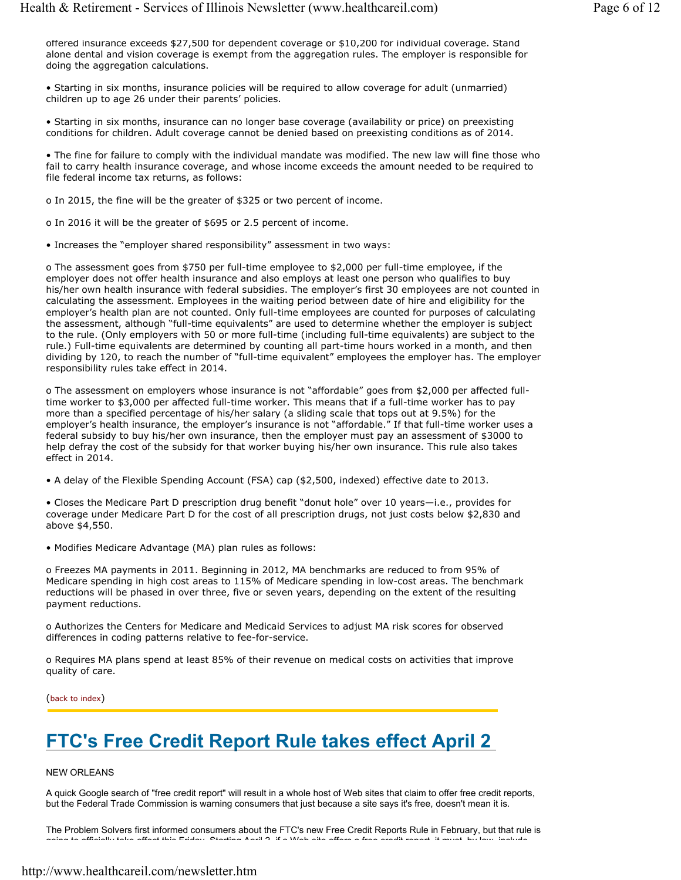offered insurance exceeds \$27,500 for dependent coverage or \$10,200 for individual coverage. Stand alone dental and vision coverage is exempt from the aggregation rules. The employer is responsible for doing the aggregation calculations.

• Starting in six months, insurance policies will be required to allow coverage for adult (unmarried) children up to age 26 under their parents' policies.

• Starting in six months, insurance can no longer base coverage (availability or price) on preexisting conditions for children. Adult coverage cannot be denied based on preexisting conditions as of 2014.

• The fine for failure to comply with the individual mandate was modified. The new law will fine those who fail to carry health insurance coverage, and whose income exceeds the amount needed to be required to file federal income tax returns, as follows:

o In 2015, the fine will be the greater of \$325 or two percent of income.

o In 2016 it will be the greater of \$695 or 2.5 percent of income.

• Increases the "employer shared responsibility" assessment in two ways:

o The assessment goes from \$750 per full-time employee to \$2,000 per full-time employee, if the employer does not offer health insurance and also employs at least one person who qualifies to buy his/her own health insurance with federal subsidies. The employer's first 30 employees are not counted in calculating the assessment. Employees in the waiting period between date of hire and eligibility for the employer's health plan are not counted. Only full-time employees are counted for purposes of calculating the assessment, although "full-time equivalents" are used to determine whether the employer is subject to the rule. (Only employers with 50 or more full-time (including full-time equivalents) are subject to the rule.) Full-time equivalents are determined by counting all part-time hours worked in a month, and then dividing by 120, to reach the number of "full-time equivalent" employees the employer has. The employer responsibility rules take effect in 2014.

o The assessment on employers whose insurance is not "affordable" goes from \$2,000 per affected fulltime worker to \$3,000 per affected full-time worker. This means that if a full-time worker has to pay more than a specified percentage of his/her salary (a sliding scale that tops out at 9.5%) for the employer's health insurance, the employer's insurance is not "affordable." If that full-time worker uses a federal subsidy to buy his/her own insurance, then the employer must pay an assessment of \$3000 to help defray the cost of the subsidy for that worker buying his/her own insurance. This rule also takes effect in 2014.

• A delay of the Flexible Spending Account (FSA) cap (\$2,500, indexed) effective date to 2013.

• Closes the Medicare Part D prescription drug benefit "donut hole" over 10 years—i.e., provides for coverage under Medicare Part D for the cost of all prescription drugs, not just costs below \$2,830 and above \$4,550.

• Modifies Medicare Advantage (MA) plan rules as follows:

o Freezes MA payments in 2011. Beginning in 2012, MA benchmarks are reduced to from 95% of Medicare spending in high cost areas to 115% of Medicare spending in low-cost areas. The benchmark reductions will be phased in over three, five or seven years, depending on the extent of the resulting payment reductions.

o Authorizes the Centers for Medicare and Medicaid Services to adjust MA risk scores for observed differences in coding patterns relative to fee-for-service.

o Requires MA plans spend at least 85% of their revenue on medical costs on activities that improve quality of care.

(back to index)

# **FTC's Free Credit Report Rule takes effect April 2**

#### NEW ORLEANS

A quick Google search of "free credit report" will result in a whole host of Web sites that claim to offer free credit reports, but the Federal Trade Commission is warning consumers that just because a site says it's free, doesn't mean it is.

The Problem Solvers first informed consumers about the FTC's new Free Credit Reports Rule in February, but that rule is going to officially take effect this Friday Starting April 2 if a Web site offers a free credit report it must by law include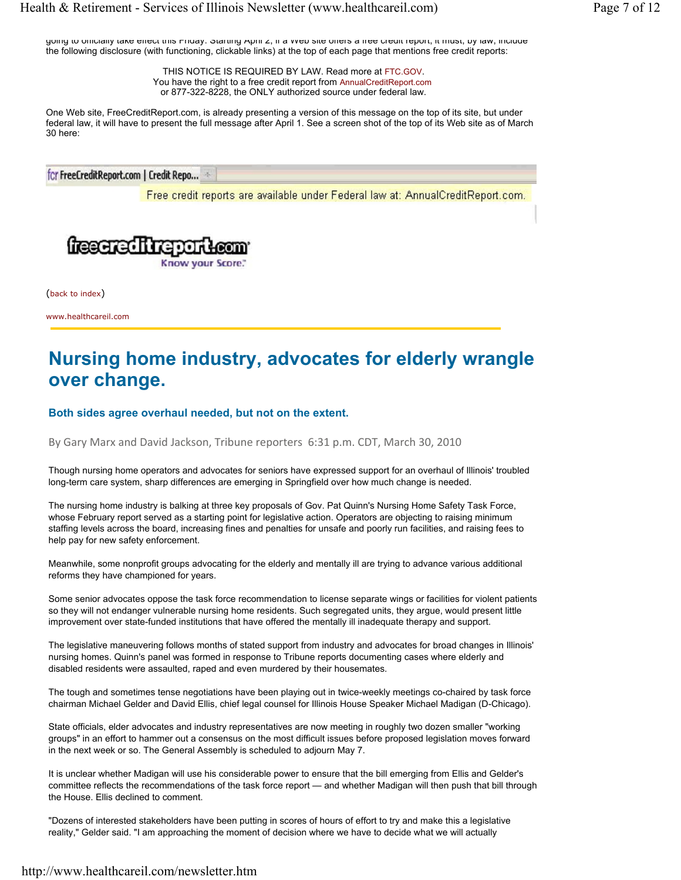going to officially take effect this Friday. Starting April 2, if a Web site offers a free credit report, it must, by law, include the following disclosure (with functioning, clickable links) at the top of each page that mentions free credit reports:

> THIS NOTICE IS REQUIRED BY LAW. Read more at FTC.GOV. You have the right to a free credit report from AnnualCreditReport.com or 877-322-8228, the ONLY authorized source under federal law.

One Web site, FreeCreditReport.com, is already presenting a version of this message on the top of its site, but under federal law, it will have to present the full message after April 1. See a screen shot of the top of its Web site as of March 30 here:

for FreeCreditReport.com | Credit Repo...

Free credit reports are available under Federal law at: AnnualCreditReport.com.



**Know your Score:** 

(back to index)

www.healthcareil.com

# **Nursing home industry, advocates for elderly wrangle over change.**

#### **Both sides agree overhaul needed, but not on the extent.**

By Gary Marx and David Jackson, Tribune reporters 6:31 p.m. CDT, March 30, 2010

Though nursing home operators and advocates for seniors have expressed support for an overhaul of Illinois' troubled long-term care system, sharp differences are emerging in Springfield over how much change is needed.

The nursing home industry is balking at three key proposals of Gov. Pat Quinn's Nursing Home Safety Task Force, whose February report served as a starting point for legislative action. Operators are objecting to raising minimum staffing levels across the board, increasing fines and penalties for unsafe and poorly run facilities, and raising fees to help pay for new safety enforcement.

Meanwhile, some nonprofit groups advocating for the elderly and mentally ill are trying to advance various additional reforms they have championed for years.

Some senior advocates oppose the task force recommendation to license separate wings or facilities for violent patients so they will not endanger vulnerable nursing home residents. Such segregated units, they argue, would present little improvement over state-funded institutions that have offered the mentally ill inadequate therapy and support.

The legislative maneuvering follows months of stated support from industry and advocates for broad changes in Illinois' nursing homes. Quinn's panel was formed in response to Tribune reports documenting cases where elderly and disabled residents were assaulted, raped and even murdered by their housemates.

The tough and sometimes tense negotiations have been playing out in twice-weekly meetings co-chaired by task force chairman Michael Gelder and David Ellis, chief legal counsel for Illinois House Speaker Michael Madigan (D-Chicago).

State officials, elder advocates and industry representatives are now meeting in roughly two dozen smaller "working groups" in an effort to hammer out a consensus on the most difficult issues before proposed legislation moves forward in the next week or so. The General Assembly is scheduled to adjourn May 7.

It is unclear whether Madigan will use his considerable power to ensure that the bill emerging from Ellis and Gelder's committee reflects the recommendations of the task force report — and whether Madigan will then push that bill through the House. Ellis declined to comment.

"Dozens of interested stakeholders have been putting in scores of hours of effort to try and make this a legislative reality," Gelder said. "I am approaching the moment of decision where we have to decide what we will actually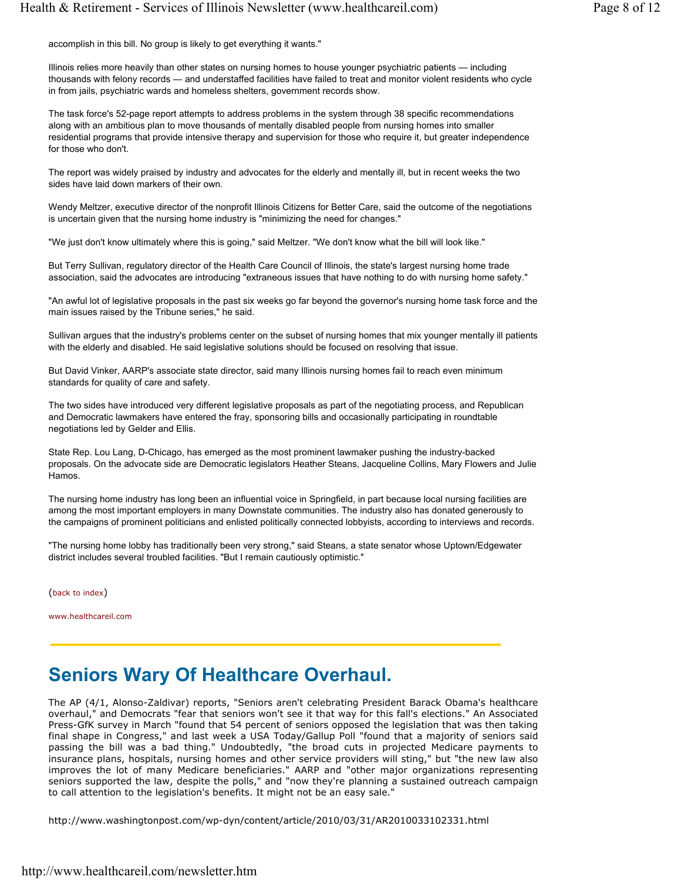accomplish in this bill. No group is likely to get everything it wants."

Illinois relies more heavily than other states on nursing homes to house younger psychiatric patients — including thousands with felony records — and understaffed facilities have failed to treat and monitor violent residents who cycle in from jails, psychiatric wards and homeless shelters, government records show.

The task force's 52-page report attempts to address problems in the system through 38 specific recommendations along with an ambitious plan to move thousands of mentally disabled people from nursing homes into smaller residential programs that provide intensive therapy and supervision for those who require it, but greater independence for those who don't.

The report was widely praised by industry and advocates for the elderly and mentally ill, but in recent weeks the two sides have laid down markers of their own.

Wendy Meltzer, executive director of the nonprofit Illinois Citizens for Better Care, said the outcome of the negotiations is uncertain given that the nursing home industry is "minimizing the need for changes."

"We just don't know ultimately where this is going," said Meltzer. "We don't know what the bill will look like."

But Terry Sullivan, regulatory director of the Health Care Council of Illinois, the state's largest nursing home trade association, said the advocates are introducing "extraneous issues that have nothing to do with nursing home safety."

"An awful lot of legislative proposals in the past six weeks go far beyond the governor's nursing home task force and the main issues raised by the Tribune series," he said.

Sullivan argues that the industry's problems center on the subset of nursing homes that mix younger mentally ill patients with the elderly and disabled. He said legislative solutions should be focused on resolving that issue.

But David Vinker, AARP's associate state director, said many Illinois nursing homes fail to reach even minimum standards for quality of care and safety.

The two sides have introduced very different legislative proposals as part of the negotiating process, and Republican and Democratic lawmakers have entered the fray, sponsoring bills and occasionally participating in roundtable negotiations led by Gelder and Ellis.

State Rep. Lou Lang, D-Chicago, has emerged as the most prominent lawmaker pushing the industry-backed proposals. On the advocate side are Democratic legislators Heather Steans, Jacqueline Collins, Mary Flowers and Julie Hamos.

The nursing home industry has long been an influential voice in Springfield, in part because local nursing facilities are among the most important employers in many Downstate communities. The industry also has donated generously to the campaigns of prominent politicians and enlisted politically connected lobbyists, according to interviews and records.

"The nursing home lobby has traditionally been very strong," said Steans, a state senator whose Uptown/Edgewater district includes several troubled facilities. "But I remain cautiously optimistic."

(back to index)

www.healthcareil.com

# **Seniors Wary Of Healthcare Overhaul.**

The AP (4/1, Alonso-Zaldivar) reports, "Seniors aren't celebrating President Barack Obama's healthcare overhaul," and Democrats "fear that seniors won't see it that way for this fall's elections." An Associated Press-GfK survey in March "found that 54 percent of seniors opposed the legislation that was then taking final shape in Congress," and last week a USA Today/Gallup Poll "found that a majority of seniors said passing the bill was a bad thing." Undoubtedly, "the broad cuts in projected Medicare payments to insurance plans, hospitals, nursing homes and other service providers will sting," but "the new law also improves the lot of many Medicare beneficiaries." AARP and "other major organizations representing seniors supported the law, despite the polls," and "now they're planning a sustained outreach campaign to call attention to the legislation's benefits. It might not be an easy sale."

http://www.washingtonpost.com/wp-dyn/content/article/2010/03/31/AR2010033102331.html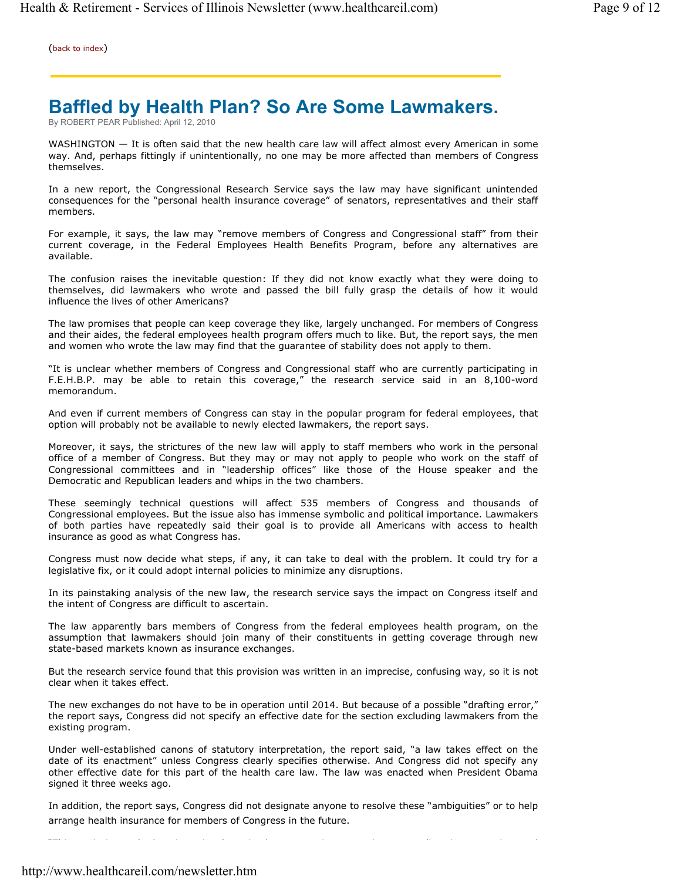(back to index)

# **Baffled by Health Plan? So Are Some Lawmakers.**

By ROBERT PEAR Published: April 12, 2010

WASHINGTON — It is often said that the new health care law will affect almost every American in some way. And, perhaps fittingly if unintentionally, no one may be more affected than members of Congress themselves.

In a new report, the Congressional Research Service says the law may have significant unintended consequences for the "personal health insurance coverage" of senators, representatives and their staff members.

For example, it says, the law may "remove members of Congress and Congressional staff" from their current coverage, in the Federal Employees Health Benefits Program, before any alternatives are available.

The confusion raises the inevitable question: If they did not know exactly what they were doing to themselves, did lawmakers who wrote and passed the bill fully grasp the details of how it would influence the lives of other Americans?

The law promises that people can keep coverage they like, largely unchanged. For members of Congress and their aides, the federal employees health program offers much to like. But, the report says, the men and women who wrote the law may find that the guarantee of stability does not apply to them.

"It is unclear whether members of Congress and Congressional staff who are currently participating in F.E.H.B.P. may be able to retain this coverage," the research service said in an 8,100-word memorandum.

And even if current members of Congress can stay in the popular program for federal employees, that option will probably not be available to newly elected lawmakers, the report says.

Moreover, it says, the strictures of the new law will apply to staff members who work in the personal office of a member of Congress. But they may or may not apply to people who work on the staff of Congressional committees and in "leadership offices" like those of the House speaker and the Democratic and Republican leaders and whips in the two chambers.

These seemingly technical questions will affect 535 members of Congress and thousands of Congressional employees. But the issue also has immense symbolic and political importance. Lawmakers of both parties have repeatedly said their goal is to provide all Americans with access to health insurance as good as what Congress has.

Congress must now decide what steps, if any, it can take to deal with the problem. It could try for a legislative fix, or it could adopt internal policies to minimize any disruptions.

In its painstaking analysis of the new law, the research service says the impact on Congress itself and the intent of Congress are difficult to ascertain.

The law apparently bars members of Congress from the federal employees health program, on the assumption that lawmakers should join many of their constituents in getting coverage through new state-based markets known as insurance exchanges.

But the research service found that this provision was written in an imprecise, confusing way, so it is not clear when it takes effect.

The new exchanges do not have to be in operation until 2014. But because of a possible "drafting error," the report says, Congress did not specify an effective date for the section excluding lawmakers from the existing program.

Under well-established canons of statutory interpretation, the report said, "a law takes effect on the date of its enactment" unless Congress clearly specifies otherwise. And Congress did not specify any other effective date for this part of the health care law. The law was enacted when President Obama signed it three weeks ago.

arrange health insurance for members of Congress in the future. In addition, the report says, Congress did not designate anyone to resolve these "ambiguities" or to help

"This is the internal dependence of the internal dependence of the internal dependence of the internal dependence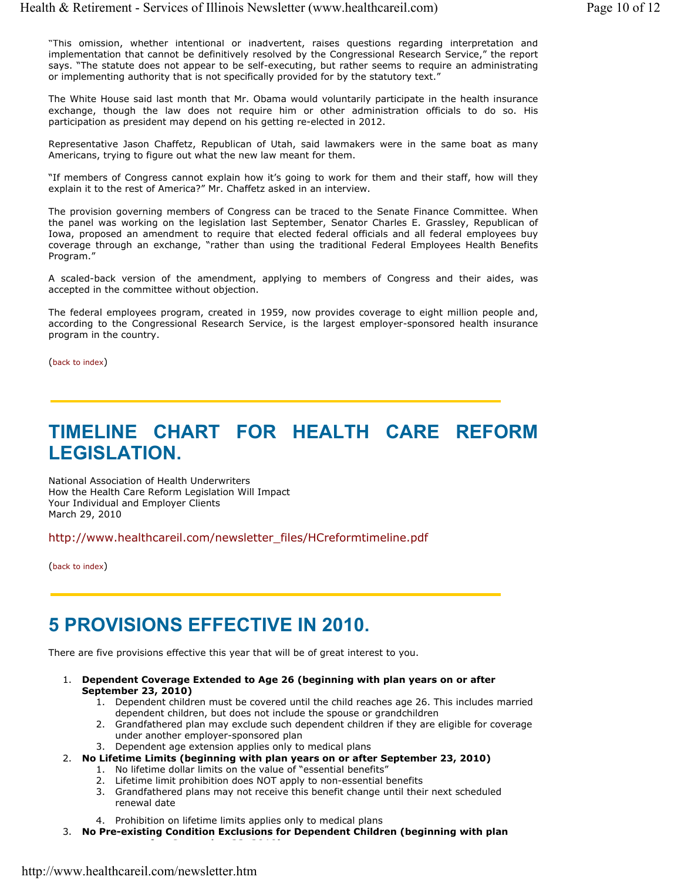"This omission, whether intentional or inadvertent, raises questions regarding interpretation and implementation that cannot be definitively resolved by the Congressional Research Service," the report says. "The statute does not appear to be self-executing, but rather seems to require an administrating or implementing authority that is not specifically provided for by the statutory text."

The White House said last month that Mr. Obama would voluntarily participate in the health insurance exchange, though the law does not require him or other administration officials to do so. His participation as president may depend on his getting re-elected in 2012.

Representative Jason Chaffetz, Republican of Utah, said lawmakers were in the same boat as many Americans, trying to figure out what the new law meant for them.

"If members of Congress cannot explain how it's going to work for them and their staff, how will they explain it to the rest of America?" Mr. Chaffetz asked in an interview.

The provision governing members of Congress can be traced to the Senate Finance Committee. When the panel was working on the legislation last September, Senator Charles E. Grassley, Republican of Iowa, proposed an amendment to require that elected federal officials and all federal employees buy coverage through an exchange, "rather than using the traditional Federal Employees Health Benefits Program."

A scaled-back version of the amendment, applying to members of Congress and their aides, was accepted in the committee without objection.

The federal employees program, created in 1959, now provides coverage to eight million people and, according to the Congressional Research Service, is the largest employer-sponsored health insurance program in the country.

(back to index)

#### **TIMELINE CHART FOR HEALTH CARE REFORM LEGISLATION.**

National Association of Health Underwriters How the Health Care Reform Legislation Will Impact Your Individual and Employer Clients March 29, 2010

http://www.healthcareil.com/newsletter\_files/HCreformtimeline.pdf

(back to index)

#### **5 PROVISIONS EFFECTIVE IN 2010.**

There are five provisions effective this year that will be of great interest to you.

- 1. **Dependent Coverage Extended to Age 26 (beginning with plan years on or after September 23, 2010)**
	- 1. Dependent children must be covered until the child reaches age 26. This includes married dependent children, but does not include the spouse or grandchildren
	- 2. Grandfathered plan may exclude such dependent children if they are eligible for coverage under another employer-sponsored plan
	- 3. Dependent age extension applies only to medical plans
- 2. **No Lifetime Limits (beginning with plan years on or after September 23, 2010)**
	- 1. No lifetime dollar limits on the value of "essential benefits"
	- 2. Lifetime limit prohibition does NOT apply to non-essential benefits
	- 3. Grandfathered plans may not receive this benefit change until their next scheduled renewal date
	- 4. Prohibition on lifetime limits applies only to medical plans

 **f S b 23 2010)**

3. **No Pre-existing Condition Exclusions for Dependent Children (beginning with plan**